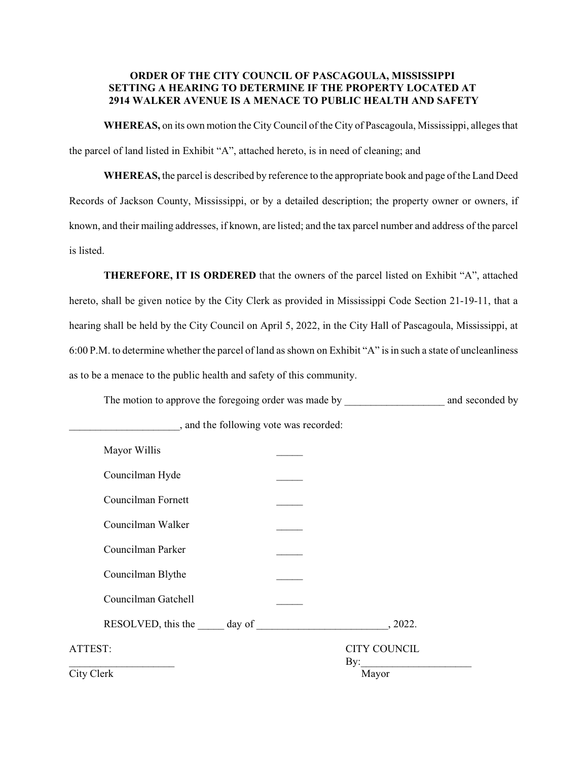# **ORDER OF THE CITY COUNCIL OF PASCAGOULA, MISSISSIPPI SETTING A HEARING TO DETERMINE IF THE PROPERTY LOCATED AT 2914 WALKER AVENUE IS A MENACE TO PUBLIC HEALTH AND SAFETY**

**WHEREAS,** on its own motion the City Council of the City of Pascagoula, Mississippi, alleges that the parcel of land listed in Exhibit "A", attached hereto, is in need of cleaning; and

**WHEREAS,** the parcel is described by reference to the appropriate book and page of the Land Deed Records of Jackson County, Mississippi, or by a detailed description; the property owner or owners, if known, and their mailing addresses, if known, are listed; and the tax parcel number and address of the parcel is listed.

**THEREFORE, IT IS ORDERED** that the owners of the parcel listed on Exhibit "A", attached hereto, shall be given notice by the City Clerk as provided in Mississippi Code Section 21-19-11, that a hearing shall be held by the City Council on April 5, 2022, in the City Hall of Pascagoula, Mississippi, at 6:00 P.M. to determine whether the parcel of land as shown on Exhibit "A" is in such a state of uncleanliness as to be a menace to the public health and safety of this community.

The motion to approve the foregoing order was made by \_\_\_\_\_\_\_\_\_\_\_\_\_\_\_\_\_\_\_\_\_\_\_\_\_\_ and seconded by

| Mayor Willis        |                            |
|---------------------|----------------------------|
| Councilman Hyde     |                            |
| Councilman Fornett  |                            |
| Councilman Walker   |                            |
| Councilman Parker   |                            |
| Councilman Blythe   |                            |
| Councilman Gatchell |                            |
|                     | , 2022.                    |
| ATTEST:             | <b>CITY COUNCIL</b><br>By: |
| City Clerk          | Mayor                      |

\_\_\_\_\_\_\_\_\_\_\_\_\_\_\_\_\_\_\_\_\_, and the following vote was recorded: